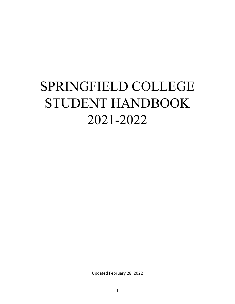# SPRINGFIELD COLLEGE STUDENT HANDBOOK 2021-2022

Updated February 28, 2022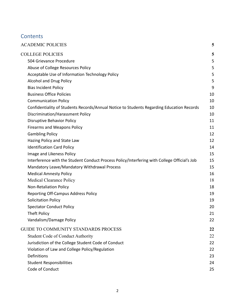# **Contents**

| <b>ACADEMIC POLICIES</b>                                                                     | 5  |
|----------------------------------------------------------------------------------------------|----|
| <b>COLLEGE POLICIES</b>                                                                      | 5  |
| 504 Grievance Procedure                                                                      | 5  |
| Abuse of College Resources Policy                                                            | 5  |
| Acceptable Use of Information Technology Policy                                              | 5  |
| Alcohol and Drug Policy                                                                      | 5  |
| <b>Bias Incident Policy</b>                                                                  | 9  |
| <b>Business Office Policies</b>                                                              | 10 |
| <b>Communication Policy</b>                                                                  | 10 |
| Confidentiality of Students Records/Annual Notice to Students Regarding Education Records    | 10 |
| Discrimination/Harassment Policy                                                             | 10 |
| Disruptive Behavior Policy                                                                   | 11 |
| Firearms and Weapons Policy                                                                  | 11 |
| <b>Gambling Policy</b>                                                                       | 12 |
| Hazing Policy and State Law                                                                  | 12 |
| <b>Identification Card Policy</b>                                                            | 14 |
| Image and Likeness Policy                                                                    | 15 |
| Interference with the Student Conduct Process Policy/Interfering with College Official's Job | 15 |
| Mandatory Leave/Mandatory Withdrawal Process                                                 | 15 |
| <b>Medical Amnesty Policy</b>                                                                | 16 |
| <b>Medical Clearance Policy</b>                                                              | 18 |
| Non-Retaliation Policy                                                                       | 18 |
| <b>Reporting Off-Campus Address Policy</b>                                                   | 19 |
| <b>Solicitation Policy</b>                                                                   | 19 |
| <b>Spectator Conduct Policy</b>                                                              | 20 |
| Theft Policy                                                                                 | 21 |
| Vandalism/Damage Policy                                                                      | 22 |
| <b>GUIDE TO COMMUNITY STANDARDS PROCESS</b>                                                  | 22 |
| <b>Student Code of Conduct Authority</b>                                                     | 22 |
| Jurisdiction of the College Student Code of Conduct                                          | 22 |
| Violation of Law and College Policy/Regulation                                               | 22 |
| <b>Definitions</b>                                                                           | 23 |
| <b>Student Responsibilities</b>                                                              | 24 |
| Code of Conduct                                                                              | 25 |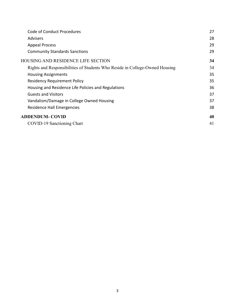| Code of Conduct Procedures                                                  | 27 |
|-----------------------------------------------------------------------------|----|
| <b>Advisers</b>                                                             | 28 |
| <b>Appeal Process</b>                                                       | 29 |
| <b>Community Standards Sanctions</b>                                        | 29 |
| <b>HOUSING AND RESIDENCE LIFE SECTION</b>                                   | 34 |
| Rights and Responsibilities of Students Who Reside in College-Owned Housing | 34 |
| <b>Housing Assignments</b>                                                  | 35 |
| <b>Residency Requirement Policy</b>                                         | 35 |
| Housing and Residence Life Policies and Regulations                         | 36 |
| <b>Guests and Visitors</b>                                                  | 37 |
| Vandalism/Damage in College Owned Housing                                   | 37 |
| Residence Hall Emergencies                                                  | 38 |
| <b>ADDENDUM- COVID</b>                                                      | 40 |
| COVID-19 Sanctioning Chart                                                  | 41 |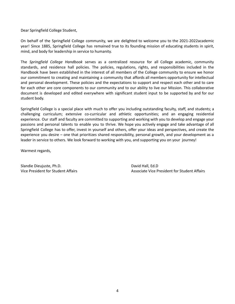Dear Springfield College Student,

On behalf of the Springfield College community, we are delighted to welcome you to the 2021-2022academic year! Since 1885, Springfield College has remained true to its founding mission of educating students in spirit, mind, and body for leadership in service to humanity.

The *Springfield College Handbook* serves as a centralized resource for all College academic, community standards, and residence hall policies. The policies, regulations, rights, and responsibilities included in the Handbook have been established in the interest of all members of the College community to ensure we honor our commitment to creating and maintaining a community that affords all members opportunity for intellectual and personal development. These policies and the expectations to support and respect each other and to care for each other are core components to our community and to our ability to live our Mission. This collaborative document is developed and edited everywhere with significant student input to be supported by and for our student body.

Springfield College is a special place with much to offer you including outstanding faculty, staff, and students; a challenging curriculum; extensive co-curricular and athletic opportunities; and an engaging residential experience. Our staff and faculty are committed to supporting and working with you to develop and engage your passions and personal talents to enable you to thrive. We hope you actively engage and take advantage of all Springfield College has to offer, invest in yourself and others, offer your ideas and perspectives, and create the experience you desire – one that prioritizes shared responsibility, personal growth, and your development as a leader in service to others. We look forward to working with you, and supporting you on your journey!

Warmest regards,

Slandie Dieujuste, Ph.D. David Hall, Ed.D.

Vice President for Student Affairs Associate Vice President for Student Affairs Associate Vice President for Student Affairs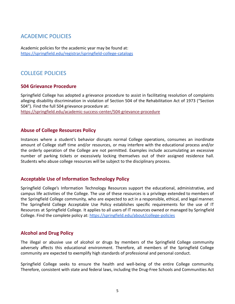# <span id="page-4-0"></span>ACADEMIC POLICIES

Academic policies for the academic year may be found at: <https://springfield.edu/registrar/springfield-college-catalogs>

# <span id="page-4-2"></span><span id="page-4-1"></span>COLLEGE POLICIES

## **504 Grievance Procedure**

Springfield College has adopted a grievance procedure to assist in facilitating resolution of complaints alleging disability discrimination in violation of Section 504 of the Rehabilitation Act of 1973 ("Section 504"). Find the full 504 grievance procedure at:

<https://springfield.edu/academic-success-center/504-grievance-procedure>

#### <span id="page-4-3"></span>**Abuse of College Resources Policy**

Instances where a student's behavior disrupts normal College operations, consumes an inordinate amount of College staff time and/or resources, or may interfere with the educational process and/or the orderly operation of the College are not permitted. Examples include accumulating an excessive number of parking tickets or excessively locking themselves out of their assigned residence hall. Students who abuse college resources will be subject to the disciplinary process.

## <span id="page-4-4"></span>**Acceptable Use of Information Technology Policy**

Springfield College's Information Technology Resources support the educational, administrative, and campus life activities of the College. The use of these resources is a privilege extended to members of the Springfield College community, who are expected to act in a responsible, ethical, and legal manner. The Springfield College Acceptable Use Policy establishes specific requirements for the use of IT Resources at Springfield College. It applies to all users of IT resources owned or managed by Springfield College. Find the complete policy at: <https://springfield.edu/about/college-policies>

## <span id="page-4-5"></span>**Alcohol and Drug Policy**

The illegal or abusive use of alcohol or drugs by members of the Springfield College community adversely affects this educational environment. Therefore, all members of the Springfield College community are expected to exemplify high standards of professional and personal conduct.

Springfield College seeks to ensure the health and well-being of the entire College community. Therefore, consistent with state and federal laws, including the Drug-Free Schools and Communities Act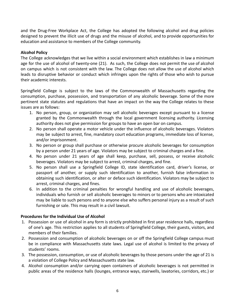and the Drug-Free Workplace Act, the College has adopted the following alcohol and drug policies designed to prevent the illicit use of drugs and the misuse of alcohol, and to provide opportunities for education and assistance to members of the College community.

#### **Alcohol Policy**

The College acknowledges that we live within a social environment which establishes in law a minimum age for the use of alcohol of twenty-one (21). As such, the College does not permit the use of alcohol on campus which is not consistent with the law. The College does not allow the use of alcohol which leads to disruptive behavior or conduct which infringes upon the rights of those who wish to pursue their academic interests.

Springfield College is subject to the laws of the Commonwealth of Massachusetts regarding the consumption, purchase, possession, and transportation of any alcoholic beverage. Some of the more pertinent state statutes and regulations that have an impact on the way the College relates to these issues are as follows:

- 1. No person, group, or organization may sell alcoholic beverages except pursuant to a license granted by the Commonwealth through the local government licensing authority. Licensing authority does not give permission for groups to have an open bar on campus.
- 2. No person shall operate a motor vehicle under the influence of alcoholic beverages. Violators may be subject to arrest, fine, mandatory court education programs, immediate loss of license, and/or imprisonment.
- 3. No person or group shall purchase or otherwise procure alcoholic beverages for consumption by a person under 21 years of age. Violators may be subject to criminal charges and a fine.
- 4. No person under 21 years of age shall keep, purchase, sell, possess, or receive alcoholic beverages. Violators may be subject to arrest, criminal charges, and fine.
- 5. No person shall use a Springfield College ID, state identification card, driver's license, or passport of another, or supply such identification to another, furnish false information in obtaining such identification, or alter or deface such identification. Violators may be subject to arrest, criminal charges, and fines.
- 6. In addition to the criminal penalties for wrongful handling and use of alcoholic beverages, individuals who furnish or sell alcoholic beverages to minors or to persons who are intoxicated may be liable to such persons and to anyone else who suffers personal injury as a result of such furnishing or sale. This may result in a civil lawsuit.

#### **Procedures for the Individual Use of Alcohol**

- 1. Possession or use of alcohol in any form is strictly prohibited in first year residence halls, regardless of one's age. This restriction applies to all students of Springfield College, their guests, visitors, and members of their families.
- 2. Possession and consumption of alcoholic beverages on or off the Springfield College campus must be in compliance with Massachusetts state laws. Legal use of alcohol is limited to the privacy of students' rooms.
- 3. The possession, consumption, or use of alcoholic beverages by those persons under the age of 21 is a violation of College Policy and Massachusetts state law.
- 4. Alcohol consumption and/or carrying open containers of alcoholic beverages is not permitted in public areas of the residence halls (lounges, entrance ways, stairwells, lavatories, corridors, etc.) or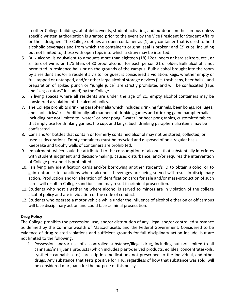in other College buildings, at athletic events, student activities, and outdoors on the campus unless specific written authorization is granted prior to the event by the Vice President for Student Affairs or their designee. The College defines an open container as (1) any container that is used to hold alcoholic beverages and from which the container's original seal is broken; and (2) cups, including but not limited to, those with open tops into which a straw may be inserted.

- 5. Bulk alcohol is equivalent to amounts more than eighteen (18) 12oz. beers **or** hard seltzers, etc., **or** 3 liters of wine, **or** 1.75 liters of 80 proof alcohol, for each person 21 or older. Bulk alcohol is not permitted in residence halls or on the grounds of the campus. Bulk alcohol brought into the room by a resident and/or a resident's visitor or guest is considered a violation. Kegs, whether empty or full, tapped or untapped, and/or other large alcohol storage devices (i.e. trash cans, beer balls), and preparation of spiked punch or "jungle juice" are strictly prohibited and will be confiscated (taps and "keg-o-rators" included) by the College.
- 6. In living spaces where all residents are under the age of 21, empty alcohol containers may be considered a violation of the alcohol policy.
- 7. The College prohibits drinking paraphernalia which includes drinking funnels, beer bongs, ice luges, and shot sticks/skis. Additionally, all manners of drinking games and drinking game paraphernalia, including but not limited to "water" or beer pong, "water" or beer pong tables, customized tables that imply use for drinking games, flip cup, and kings. Such drinking paraphernalia items may be confiscated.
- 8. Cans and/or bottles that contain or formerly contained alcohol may not be stored, collected, or used as decorations. Empty containers must be recycled and disposed of on a regular basis. Keepsake and trophy walls of containers are prohibited.
- 9. Impairment, which could be attributed to the consumption of alcohol, that substantially interferes with student judgment and decision-making, causes disturbance, and/or requires the intervention of College personnel is prohibited.
- 10. Falsifying any identification cards and/or borrowing another student's ID to obtain alcohol or to gain entrance to functions where alcoholic beverages are being served will result in disciplinary action. Production and/or alteration of identification cards for sale and/or mass-production of such cards will result in College sanctions and may result in criminal prosecution.
- 11. Students who host a gathering where alcohol is served to minors are in violation of the college alcohol policy and are in violation of the code of conduct.
- 12. Students who operate a motor vehicle while under the influence of alcohol either on or off campus will face disciplinary action and could face criminal prosecution.

#### **Drug Policy**

The College prohibits the possession, use, and/or distribution of any illegal and/or controlled substance as defined by the Commonwealth of Massachusetts and the Federal Government. Considered to be evidence of drug-related violations and sufficient grounds for full disciplinary action include, but are not limited to the following:

1. Possession and/or use of a controlled substance/illegal drug, including but not limited to all cannabis/marijuana products (which includes plant-derived products, edibles, concentrates/oils, synthetic cannabis, etc.), prescription medications not prescribed to the individual, and other drugs. Any substance that tests positive for THC, regardless of how that substance was sold, will be considered marijuana for the purpose of this policy.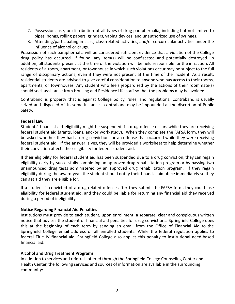- 2. Possession, use, or distribution of all types of drug paraphernalia, including but not limited to pipes, bongs, rolling papers, grinders, vaping devices, and unauthorized use of syringes.
- 3. Attending/participating in class, class-related activities, and/or co-curricular activities under the influence of alcohol or drugs.

Possession of such paraphernalia will be considered sufficient evidence that a violation of the College drug policy has occurred. If found, any item(s) will be confiscated and potentially destroyed. In addition, all students present at the time of the violation will be held responsible for the infraction. All residents of a room, apartment, or townhouse in which such violations occur may be subject to the full range of disciplinary actions, even if they were not present at the time of the incident. As a result, residential students are advised to give careful consideration to anyone who has access to their rooms, apartments, or townhouses. Any student who feels jeopardized by the actions of their roommate(s) should seek assistance from Housing and Residence Life staff so that the problems may be avoided.

Contraband is property that is against College policy, rules, and regulations. Contraband is usually seized and disposed of. In some instances, contraband may be impounded at the discretion of Public Safety.

#### **Federal Law**

Students' financial aid eligibility might be suspended if a drug offense occurs while they are receiving federal student aid (grants, loans, and/or work-study). When they complete the FAFSA form, they will be asked whether they had a drug conviction for an offense that occurred while they were receiving federal student aid. If the answer is yes, they will be provided a worksheet to help determine whether their conviction affects their eligibility for federal student aid.

If their eligibility for federal student aid has been suspended due to a drug conviction, they can regain eligibility early by successfully completing an approved drug rehabilitation program or by passing two unannounced drug tests administered by an approved drug rehabilitation program. If they regain eligibility during the award year, the student should notify their financial aid office immediately so they can get aid they are eligible for.

If a student is convicted of a drug-related offense after they submit the FAFSA form, they could lose eligibility for federal student aid, and they could be liable for returning any financial aid they received during a period of ineligibility.

#### **Notice Regarding Financial Aid Penalties**

Institutions must provide to each student, upon enrollment, a separate, clear and conspicuous written notice that advises the student of financial aid penalties for drug convictions. Springfield College does this at the beginning of each term by sending an email from the Office of Financial Aid to the Springfield College email address of all enrolled students. While the federal regulation applies to federal Title IV financial aid, Springfield College also applies this penalty to institutional need-based financial aid.

#### **Alcohol and Drug Treatment Programs**

In addition to services and referrals offered through the Springfield College Counseling Center and Health Center, the following services and sources of information are available in the surrounding community: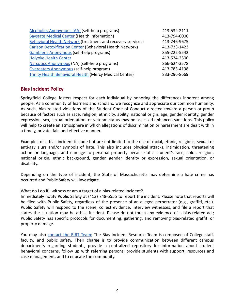| Alcoholics Anonymous (AA) (self-help programs)                     | 413-532-2111 |
|--------------------------------------------------------------------|--------------|
| <b>Baystate Medical Center (Health Information)</b>                | 413-794-0000 |
| <b>Behavioral Health Network (treatment and recovery services)</b> | 413-246-9675 |
| <b>Carlson Detoxification Center (Behavioral Health Network)</b>   | 413-733-1423 |
| Gambler's Anonymous (self-help programs)                           | 855-222-5542 |
| <b>Holyoke Health Center</b>                                       | 413-534-2500 |
| Narcotics Anonymous (NA) (self-help programs)                      | 866-624-3578 |
| Overeaters Anonymous (self-help program)                           | 413-783-4198 |
| <b>Trinity Health Behavioral Health (Mercy Medical Center)</b>     | 833-296-8669 |

#### <span id="page-8-0"></span>**Bias Incident Policy**

Springfield College fosters respect for each individual by honoring the differences inherent among people. As a community of learners and scholars, we recognize and appreciate our common humanity. As such, bias-related violations of the Student Code of Conduct directed toward a person or group because of factors such as race, religion, ethnicity, ability, national origin, age, gender identity, gender expression, sex, sexual orientation, or veteran status may be assessed enhanced sanctions. This policy will help to create an atmosphere in which allegations of discrimination or harassment are dealt with in a timely, private, fair, and effective manner.

Examples of a bias incident include but are not limited to the use of racial, ethnic, religious, sexual or anti-gay slurs and/or symbols of hate. This also includes physical attacks, intimidation, threatening action or language, and damage to personal property because of a student's race, color, religion, national origin, ethnic background, gender, gender identity or expression, sexual orientation, or disability.

Depending on the type of incident, the State of Massachusetts may determine a hate crime has occurred and Public Safety will investigate.

#### What do I do if I witness or am a target of a bias-related incident?

Immediately notify Public Safety at (413) 748-5555 to report the incident. Please note that reports will be filed with Public Safety, regardless of the presence of an alleged perpetrator (e.g., graffiti, etc.). Public Safety will respond to the scene, collect evidence, interview witnesses, and file a report that states the situation may be a bias incident. Please do not touch any evidence of a bias-related act; Public Safety has specific protocols for documenting, gathering, and removing bias-related graffiti or property damage.

You may also [contact](https://cm.maxient.com/reportingform.php?SpringfieldCollege&layout_id=60) the BIRT Team: The Bias Incident Resource Team is composed of College staff, faculty, and public safety. Their charge is to provide communication between different campus departments regarding students, provide a centralized repository for information about student behavioral concerns, follow up with referring persons, provide students with support, resources and case management, and to educate the community.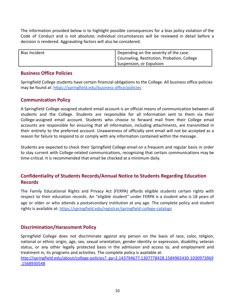The information provided below is to highlight possible consequences for a bias policy violation of the Code of Conduct and is not absolute; individual circumstances will be reviewed in detail before a decision is rendered. Aggravating factors will also be considered.

| Bias Incident | Depending on the severity of the case:      |
|---------------|---------------------------------------------|
|               | Counseling, Restitution, Probation, College |
|               | Suspension, or Expulsion                    |

#### <span id="page-9-0"></span>**Business Office Policies**

Springfield College students have certain financial obligations to the College. All business office policies may be found at: <https://springfield.edu/business-office/policies>

## <span id="page-9-1"></span>**Communication Policy**

A Springfield College-assigned student email account is an official means of communication between all students and the College. Students are responsible for all information sent to them via their College-assigned email account. Students who choose to forward mail from their College email accounts are responsible for ensuring that all information, including attachments, are transmitted in their entirety to the preferred account. Unawareness of officially sent email will not be accepted as a reason for failure to respond to or comply with any information contained within the message.

Students are expected to check their Springfield College email on a frequent and regular basis in order to stay current with College-related communications, recognizing that certain communications may be time-critical. It is recommended that email be checked at a minimum daily.

## <span id="page-9-2"></span>**Confidentiality of Students Records/Annual Notice to Students Regarding Education Records**

The Family Educational Rights and Privacy Act (FERPA) affords eligible students certain rights with respect to their education records. An "eligible student" under FERPA is a student who is 18 years of age or older or who attends a postsecondary institution at any age. The complete policy and student rights is available at: <https://springfield.edu/registrar/springfield-college-catalogs>

## <span id="page-9-3"></span>**Discrimination/Harassment Policy**

Springfield College does not discriminate against any person on the basis of race, color, religion, national or ethnic origin, age, sex, sexual orientation, gender identity or expression, disability, veteran status, or any other legally protected basis in the admission and access to, and employment and treatment in, its programs and activities. The complete policy is available at: [http://springfield.edu/about/college-policies?\\_ga=2.143794677.1307778428.1584965430-1030973969](http://springfield.edu/about/college-policies?_ga=2.143794677.1307778428.1584965430-1030973969.1568930548) [.1568930548](http://springfield.edu/about/college-policies?_ga=2.143794677.1307778428.1584965430-1030973969.1568930548)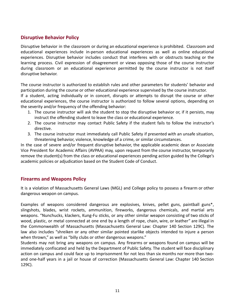## <span id="page-10-0"></span>**Disruptive Behavior Policy**

Disruptive behavior in the classroom or during an educational experience is prohibited. Classroom and educational experiences include in-person educational experiences as well as online educational experiences. Disruptive behavior includes conduct that interferes with or obstructs teaching or the learning process. Civil expression of disagreement or views opposing those of the course instructor during classroom or an educational experience permitted by the course instructor is not itself disruptive behavior.

The course instructor is authorized to establish rules and other parameters for students' behavior and participation during the course or other educational experience supervised by the course instructor.

If a student, acting individually or in concert, disrupts or attempts to disrupt the course or other educational experiences, the course instructor is authorized to follow several options, depending on the severity and/or frequency of the offending behavior:

- 1. The course instructor will ask the student to stop the disruptive behavior or, if it persists, may instruct the offending student to leave the class or educational experience.
- 2. The course instructor may contact Public Safety if the student fails to follow the instructor's directive.
- 3. The course instructor must immediately call Public Safety if presented with an unsafe situation, threatening behavior, violence, knowledge of a crime, or similar circumstances.

In the case of severe and/or frequent disruptive behavior, the applicable academic dean or Associate Vice President for Academic Affairs (AVPAA) may, upon request from the course instructor, temporarily remove the student(s) from the class or educational experiences pending action guided by the College's academic policies or adjudication based on the Student Code of Conduct.

## <span id="page-10-1"></span>**Firearms and Weapons Policy**

It is a violation of Massachusetts General Laws (MGL) and College policy to possess a firearm or other dangerous weapon on campus.

Examples of weapons considered dangerous are explosives, knives, pellet guns, paintball guns\*, slingshots, blades, wrist rockets, ammunition, fireworks, dangerous chemicals, and martial arts weapons. "Nunchucks, klackers, Kung-Fu sticks, or any other similar weapon consisting of two sticks of wood, plastic, or metal connected at one end by a length of rope, chain, wire, or leather" are illegal in the Commonwealth of Massachusetts (Massachusetts General Law: Chapter 140 Section 129C). The law also includes "shreiken or any other similar pointed starlike objects intended to injure a person when thrown," as well as "billy clubs or other dangerous weapons."

Students may not bring any weapons on campus. Any firearms or weapons found on campus will be immediately confiscated and held by the Department of Public Safety. The student will face disciplinary action on campus and could face up to imprisonment for not less than six months nor more than twoand one-half years in a jail or house of correction (Massachusetts General Law: Chapter 140 Section 129C).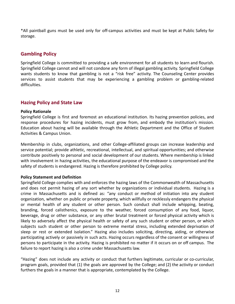\*All paintball guns must be used only for off-campus activities and must be kept at Public Safety for storage.

## <span id="page-11-0"></span>**Gambling Policy**

Springfield College is committed to providing a safe environment for all students to learn and flourish. Springfield College cannot and will not condone any form of illegal gambling activity. Springfield College wants students to know that gambling is not a "risk free" activity. The Counseling Center provides services to assist students that may be experiencing a gambling problem or gambling-related difficulties.

## <span id="page-11-1"></span>**Hazing Policy and State Law**

#### **Policy Rationale**

Springfield College is first and foremost an educational institution. Its hazing prevention policies, and response procedures for hazing incidents, must grow from, and embody the institution's mission. Education about hazing will be available through the Athletic Department and the Office of Student Activities & Campus Union.

Membership in clubs, organizations, and other College-affiliated groups can increase leadership and service potential; provide athletic, recreational, intellectual, and spiritual opportunities; and otherwise contribute positively to personal and social development of our students. Where membership is linked with involvement in hazing activities, the educational purpose of the endeavor is compromised and the safety of students is endangered. Hazing is therefore prohibited by College policy.

#### **Policy Statement and Definition**

Springfield College complies with and enforces the hazing laws of the Commonwealth of Massachusetts and does not permit hazing of any sort whether by organizations or individual students. Hazing is a crime in Massachusetts and is defined as: "any conduct or method of initiation into any student organization, whether on public or private property, which willfully or recklessly endangers the physical or mental health of any student or other person. Such conduct shall include whipping, beating, branding, forced calisthenics, exposure to the weather, forced consumption of any food, liquor, beverage, drug or other substance, or any other brutal treatment or forced physical activity which is likely to adversely affect the physical health or safety of any such student or other person, or which subjects such student or other person to extreme mental stress, including extended deprivation of sleep or rest or extended isolation." Hazing also includes soliciting, directing, aiding, or otherwise participating actively or passively in such acts. Hazing occurs regardless of the consent or willingness of persons to participate in the activity. Hazing is prohibited no matter if it occurs on or off campus. The failure to report hazing is also a crime under Massachusetts law.

"Hazing" does not include any activity or conduct that furthers legitimate, curricular or co-curricular, program goals, provided that (1) the goals are approved by the College; and (2) the activity or conduct furthers the goals in a manner that is appropriate, contemplated by the College.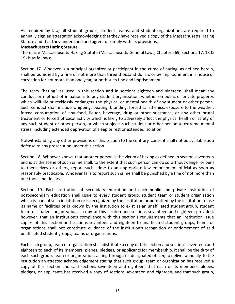As required by law, all student groups, student teams, and student organizations are required to annually sign an attestation acknowledging that they have received a copy of the Massachusetts Hazing Statute and that they understand and agree to comply with its provisions.

#### **Massachusetts Hazing Statute**

The entire Massachusetts Hazing Statute (Massachusetts General Laws, Chapter 269, Sections 17, 18 & 19) is as follows:

Section 17. Whoever is a principal organizer or participant in the crime of hazing, as defined herein, shall be punished by a fine of not more than three thousand dollars or by imprisonment in a house of correction for not more than one year, or both such fine and imprisonment.

The term "hazing" as used in this section and in sections eighteen and nineteen, shall mean any conduct or method of initiation into any student organization, whether on public or private property, which willfully or recklessly endangers the physical or mental health of any student or other person. Such conduct shall include whipping, beating, branding, forced calisthenics, exposure to the weather, forced consumption of any food, liquor, beverage, drug or other substance, or any other brutal treatment or forced physical activity which is likely to adversely affect the physical health or safety of any such student or other person, or which subjects such student or other person to extreme mental stress, including extended deprivation of sleep or rest or extended isolation.

Notwithstanding any other provisions of this section to the contrary, consent shall not be available as a defense to any prosecution under this action.

Section 18. Whoever knows that another person is the victim of hazing as defined in section seventeen and is at the scene of such crime shall, to the extent that such person can do so without danger or peril to themselves or others, report such crime to an appropriate law enforcement official as soon as reasonably practicable. Whoever fails to report such crime shall be punished by a fine of not more than one thousand dollars.

Section 19. Each institution of secondary education and each public and private institution of post-secondary education shall issue to every student group, student team or student organization which is part of such institution or is recognized by the institution or permitted by the institution to use its name or facilities or is known by the institution to exist as an unaffiliated student group, student team or student organization, a copy of this section and sections seventeen and eighteen; provided, however, that an institution's compliance with this section's requirements that an institution issue copies of this section and sections seventeen and eighteen to unaffiliated student groups, teams or organizations shall not constitute evidence of the institution's recognition or endorsement of said unaffiliated student groups, teams or organizations.

Each such group, team or organization shall distribute a copy of this section and sections seventeen and eighteen to each of its members, plebes, pledges, or applicants for membership. It shall be the duty of each such group, team or organization, acting through its designated officer, to deliver annually, to the institution an attested acknowledgement stating that such group, team or organization has received a copy of this section and said sections seventeen and eighteen, that each of its members, plebes, pledges, or applicants has received a copy of sections seventeen and eighteen, and that such group,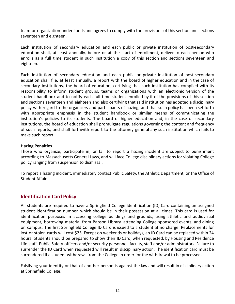team or organization understands and agrees to comply with the provisions of this section and sections seventeen and eighteen.

Each institution of secondary education and each public or private institution of post-secondary education shall, at least annually, before or at the start of enrollment, deliver to each person who enrolls as a full time student in such institution a copy of this section and sections seventeen and eighteen.

Each institution of secondary education and each public or private institution of post-secondary education shall file, at least annually, a report with the board of higher education and in the case of secondary institutions, the board of education, certifying that such institution has complied with its responsibility to inform student groups, teams or organizations with an electronic version of the student handbook and to notify each full time student enrolled by it of the provisions of this section and sections seventeen and eighteen and also certifying that said institution has adopted a disciplinary policy with regard to the organizers and participants of hazing, and that such policy has been set forth with appropriate emphasis in the student handbook or similar means of communicating the institution's policies to its students. The board of higher education and, in the case of secondary institutions, the board of education shall promulgate regulations governing the content and frequency of such reports, and shall forthwith report to the attorney general any such institution which fails to make such report.

#### **Hazing Penalties**

Those who organize, participate in, or fail to report a hazing incident are subject to punishment according to Massachusetts General Laws, and will face College disciplinary actions for violating College policy ranging from suspension to dismissal.

To report a hazing incident, immediately contact Public Safety, the Athletic Department, or the Office of Student Affairs.

#### <span id="page-13-0"></span>**Identification Card Policy**

All students are required to have a Springfield College Identification (ID) Card containing an assigned student identification number, which should be in their possession at all times. This card is used for identification purposes in accessing college buildings and grounds, using athletic and audiovisual equipment, borrowing material from Babson Library, attending College sponsored events, and dining on campus. The first Springfield College ID Card is issued to a student at no charge. Replacements for lost or stolen cards will cost \$25. Except on weekends or holidays, an ID Card can be replaced within 24 hours. Students should be prepared to show their ID Card, when requested, by Housing and Residence Life staff, Public Safety officers and/or security personnel, faculty, staff and/or administrators. Failure to surrender the ID Card when requested will result in disciplinary action. The identification card must be surrendered if a student withdraws from the College in order for the withdrawal to be processed.

Falsifying your identity or that of another person is against the law and will result in disciplinary action at Springfield College.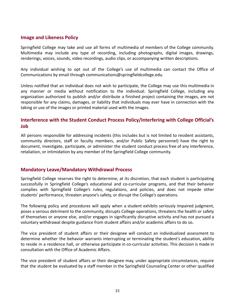#### <span id="page-14-0"></span>**Image and Likeness Policy**

Springfield College may take and use all forms of multimedia of members of the College community. Multimedia may include any type of recording, including photographs, digital images, drawings, renderings, voices, sounds, video recordings, audio clips, or accompanying written descriptions.

Any individual wishing to opt out of the College's use of multimedia can contact the Office of Communications by email through communications@springfieldcollege.edu.

Unless notified that an individual does not wish to participate, the College may use this multimedia in any manner or media without notification to the individual. Springfield College, including any organization authorized to publish and/or distribute a finished project containing the images, are not responsible for any claims, damages, or liability that individuals may ever have in connection with the taking or use of the images or printed material used with the images.

## <span id="page-14-1"></span>**Interference with the Student Conduct Process Policy/Interfering with College Official's Job**

All persons responsible for addressing incidents (this includes but is not limited to resident assistants, community directors, staff or faculty members, and/or Public Safety personnel) have the right to document, investigate, participate, or administer the student conduct process free of any interference, retaliation, or intimidation by any member of the Springfield College community.

## <span id="page-14-2"></span>**Mandatory Leave/Mandatory Withdrawal Process**

Springfield College reserves the right to determine, at its discretion, that each student is participating successfully in Springfield College's educational and co-curricular programs, and that their behavior complies with Springfield College's rules, regulations, and policies, and does not impede other students' performance, threaten anyone's safety, or disrupt the College's operations.

The following policy and procedures will apply when a student exhibits seriously impaired judgment, poses a serious detriment to the community, disrupts College operations, threatens the health or safety of themselves or anyone else, and/or engages in significantly disruptive activity and has not pursued a voluntary withdrawal despite guidance from student affairs and/or academic affairs to do so**.**

The vice president of student affairs or their designee will conduct an individualized assessment to determine whether the behavior warrants interrupting or terminating the student's education, ability to reside in a residence hall, or otherwise participate in co-curricular activities. This decision is made in consultation with the Office of Academic Affairs.

The vice president of student affairs or their designee may, under appropriate circumstances, require that the student be evaluated by a staff member in the Springfield Counseling Center or other qualified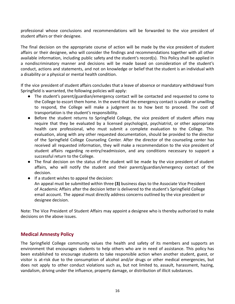professional whose conclusions and recommendations will be forwarded to the vice president of student affairs or their designee.

The final decision on the appropriate course of action will be made by the vice president of student affairs or their designee, who will consider the findings and recommendations together with all other available information, including public safety and the student's record(s). This Policy shall be applied in a nondiscriminatory manner and decisions will be made based on consideration of the student's conduct, actions and statements, and not on knowledge or belief that the student is an individual with a disability or a physical or mental health condition.

If the vice president of student affairs concludes that a leave of absence or mandatory withdrawal from Springfield is warranted, the following policies will apply:

- The student's parent/guardian/emergency contact will be contacted and requested to come to the College to escort them home. In the event that the emergency contact is unable or unwilling to respond, the College will make a judgment as to how best to proceed. The cost of transportation is the student's responsibility.
- Before the student returns to Springfield College, the vice president of student affairs may require that they be evaluated by a licensed psychologist, psychiatrist, or other appropriate health care professional, who must submit a complete evaluation to the College. This evaluation, along with any other requested documentation, should be provided to the director of the Springfield College Counseling Center. After the director of the counseling center has received all requested information, they will make a recommendation to the vice president of student affairs regarding re-entry/readmission, and any conditions necessary to support a successful return to the College.
- The final decision on the status of the student will be made by the vice president of student affairs, who will notify the student and their parent/guardian/emergency contact of the decision.
- If a student wishes to appeal the decision: An appeal must be submitted within three **(3)** business days to the Associate Vice President of Academic Affairs after the decision letter is delivered to the student's Springfield College email account. The appeal must directly address concerns outlined by the vice president or designee decision.

Note: The Vice President of Student Affairs may appoint a designee who is thereby authorized to make decisions on the above issues.

## <span id="page-15-0"></span>**Medical Amnesty Policy**

The Springfield College community values the health and safety of its members and supports an environment that encourages students to help others who are in need of assistance. This policy has been established to encourage students to take responsible action when another student, guest, or visitor is at-risk due to the consumption of alcohol and/or drugs or other medical emergencies, but does not apply to other conduct violations such as, but not limited to, assault, harassment, hazing, vandalism, driving under the influence, property damage, or distribution of illicit substances.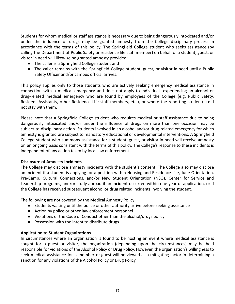Students for whom medical or staff assistance is necessary due to being dangerously intoxicated and/or under the influence of drugs may be granted amnesty from the College disciplinary process in accordance with the terms of this policy. The Springfield College student who seeks assistance (by calling the Department of Public Safety or residence life staff member) on behalf of a student, guest, or visitor in need will likewise be granted amnesty provided:

- The caller is a Springfield College student and
- The caller remains with the Springfield College student, guest, or visitor in need until a Public Safety Officer and/or campus official arrives.

This policy applies only to those students who are actively seeking emergency medical assistance in connection with a medical emergency and does not apply to individuals experiencing an alcohol or drug-related medical emergency who are found by employees of the College (e.g. Public Safety, Resident Assistants, other Residence Life staff members, etc.), or where the reporting student(s) did not stay with them.

Please note that a Springfield College student who requires medical or staff assistance due to being dangerously intoxicated and/or under the influence of drugs on more than one occasion may be subject to disciplinary action. Students involved in an alcohol and/or drug-related emergency for which amnesty is granted are subject to mandatory educational or developmental interventions. A Springfield College student who summons assistance for a student, guest, or visitor in need will receive amnesty on an ongoing basis consistent with the terms of this policy. The College's response to these incidents is independent of any action taken by local law enforcement.

#### **Disclosure of Amnesty Incidents**

The College may disclose amnesty incidents with the student's consent. The College also may disclose an incident if a student is applying for a position within Housing and Residence Life, June Orientation, Pre-Camp, Cultural Connections, and/or New Student Orientation (NSO), Center for Service and Leadership programs, and/or study abroad if an incident occurred within one year of application, or if the College has received subsequent alcohol or drug related incidents involving the student.

The following are not covered by the Medical Amnesty Policy:

- Students waiting until the police or other authority arrive before seeking assistance
- Action by police or other law enforcement personnel
- Violations of the Code of Conduct other than the alcohol/drugs policy
- Possession with the intent to distribute drugs.

#### **Application to Student Organizations**

In circumstances where an organization is found to be hosting an event where medical assistance is sought for a guest or visitor, the organization (depending upon the circumstances) may be held responsible for violations of the Alcohol Policy or Drug Policy. However, the organization's willingness to seek medical assistance for a member or guest will be viewed as a mitigating factor in determining a sanction for any violations of the Alcohol Policy or Drug Policy.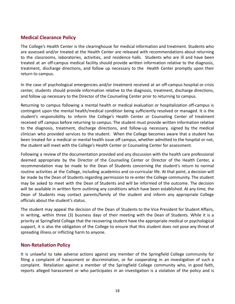## <span id="page-17-0"></span>**Medical Clearance Policy**

The College's Health Center is the clearinghouse for medical information and treatment. Students who are assessed and/or treated at the Health Center are released with recommendations about returning to the classrooms, laboratories, activities, and residence halls. Students who are ill and have been treated at an off-campus medical facility should provide written information relative to the diagnosis, treatment, discharge directions, and follow up necessary to the Health Center promptly upon their return to campus.

In the case of psychological emergencies and/or treatment received at an off-campus hospital or crisis center, students should provide information relative to the diagnosis, treatment, discharge directions, and follow up necessary to the Director of the Counseling Center prior to returning to campus.

Returning to campus following a mental health or medical evaluation or hospitalization off-campus is contingent upon the mental health/medical condition being sufficiently resolved or managed. It is the student's responsibility to inform the College's Health Center or Counseling Center of treatment received off campus before returning to campus. The student must provide written information relative to the diagnosis, treatment, discharge directions, and follow-up necessary, signed by the medical clinician who provided services to the student. When the College becomes aware that a student has been treated for a medical or mental health issue off campus, whether admitted to the hospital or not, the student will meet with the College's Health Center or Counseling Center for assessment.

Following a review of the documentation provided and any discussion with the health care professional deemed appropriate by the Director of the Counseling Center or Director of the Health Center, a recommendation may be made to the Dean of Students concerning the student's return to normal routine activities at the College, including academics and co-curricular life. At that point, a decision will be made by the Dean of Students regarding permission to re-enter the College community. The student may be asked to meet with the Dean of Students and will be informed of the outcome. The decision will be available in written form outlining any conditions which have been established. At any time, the Dean of Students may contact parents/family of the student and inform any appropriate College officials about the student's status.

The student may appeal the decision of the Dean of Students to the Vice President for Student Affairs, in writing, within three (3) business days of their meeting with the Dean of Students. While it is a priority at Springfield College that the recovering student have the appropriate medical or psychological support, it is also the obligation of the College to ensure that this student does not pose any threat of spreading illness or inflicting harm to anyone.

#### <span id="page-17-1"></span>**Non-Retaliation Policy**

It is unlawful to take adverse actions against any member of the Springfield College community for filing a complaint of harassment or discrimination, or for cooperating in an investigation of such a complaint. Retaliation against a member of the Springfield College community who, in good faith, reports alleged harassment or who participates in an investigation is a violation of the policy and is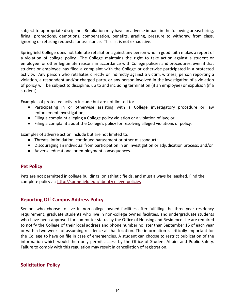subject to appropriate discipline. Retaliation may have an adverse impact in the following areas: hiring, firing, promotions, demotions, compensation, benefits, grading, pressure to withdraw from class, ignoring or refusing requests for assistance. This list is not exhaustive.

Springfield College does not tolerate retaliation against any person who in good faith makes a report of a violation of college policy. The College maintains the right to take action against a student or employee for other legitimate reasons in accordance with College policies and procedures, even if that student or employee has filed a complaint with the College or otherwise participated in a protected activity. Any person who retaliates directly or indirectly against a victim, witness, person reporting a violation, a respondent and/or charged party, or any person involved in the investigation of a violation of policy will be subject to discipline, up to and including termination (if an employee) or expulsion (if a student).

Examples of protected activity include but are not limited to:

- Participating in or otherwise assisting with a College investigatory procedure or law enforcement investigation;
- Filing a complaint alleging a College policy violation or a violation of law; or
- Filing a complaint about the College's policy for resolving alleged violations of policy.

Examples of adverse action include but are not limited to:

- Threats, intimidation, continued harassment or other misconduct;
- Discouraging an individual from participation in an investigation or adjudication process; and/or
- Adverse educational or employment consequences.

## **Pet Policy**

Pets are not permitted in college buildings, on athletic fields, and must always be leashed. Find the complete policy at: <http://springfield.edu/about/college-policies>

## <span id="page-18-0"></span>**Reporting Off-Campus Address Policy**

Seniors who choose to live in non-college owned facilities after fulfilling the three-year residency requirement, graduate students who live in non-college owned facilities, and undergraduate students who have been approved for commuter status by the Office of Housing and Residence Life are required to notify the College of their local address and phone number no later than September 15 of each year or within two weeks of assuming residence at that location. The information is critically important for the College to have on file in case of emergencies. A student can choose to restrict publication of the information which would then only permit access by the Office of Student Affairs and Public Safety. Failure to comply with this regulation may result in cancellation of registration.

## <span id="page-18-1"></span>**Solicitation Policy**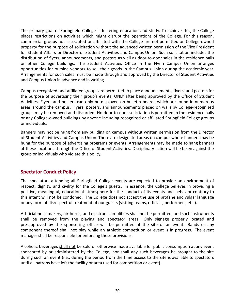The primary goal of Springfield College is fostering education and study. To achieve this, the College places restrictions on activities which might disrupt the operations of the College. For this reason, commercial groups not associated or affiliated with the College are not permitted on College-owned property for the purpose of solicitation without the advanced written permission of the Vice President for Student Affairs or Director of Student Activities and Campus Union. Such solicitation includes the distribution of flyers, announcements, and posters as well as door-to-door sales in the residence halls or other College buildings. The Student Activities Office in the Flynn Campus Union arranges opportunities for outside vendors to sell their goods in the Campus Union during the academic year. Arrangements for such sales must be made through and approved by the Director of Student Activities and Campus Union in advance and in writing.

Campus-recognized and affiliated groups are permitted to place announcements, flyers, and posters for the purpose of advertising their group's events, ONLY after being approved by the Office of Student Activities. Flyers and posters can only be displayed on bulletin boards which are found in numerous areas around the campus. Flyers, posters, and announcements placed on walls by College-recognized groups may be removed and discarded. No door-to-door solicitation is permitted in the residence halls or any College-owned buildings by anyone including recognized or affiliated Springfield College groups or individuals.

Banners may not be hung from any building on campus without written permission from the Director of Student Activities and Campus Union. There are designated areas on campus where banners may be hung for the purpose of advertising programs or events. Arrangements may be made to hang banners at these locations through the Office of Student Activities. Disciplinary action will be taken against the group or individuals who violate this policy.

## <span id="page-19-0"></span>**Spectator Conduct Policy**

The spectators attending all Springfield College events are expected to provide an environment of respect, dignity, and civility for the College's guests. In essence, the College believes in providing a positive, meaningful, educational atmosphere for the conduct of its events and behavior contrary to this intent will not be condoned. The College does not accept the use of profane and vulgar language or any form of disrespectful treatment of our guests (visiting teams, officials, performers, etc.).

Artificial noisemakers, air horns, and electronic amplifiers shall not be permitted, and such instruments shall be removed from the playing and spectator areas. Only signage properly located and pre-approved by the sponsoring office will be permitted at the site of an event. Bands or any component thereof shall not play while an athletic competition or event is in progress. The event manager shall be responsible for enforcing these provisions.

Alcoholic beverages shall not be sold or otherwise made available for public consumption at any event sponsored by or administered by the College, nor shall any such beverages be brought to the site during such an event (i.e., during the period from the time access to the site is available to spectators until all patrons have left the facility or area used for competition or event).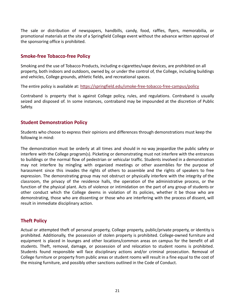The sale or distribution of newspapers, handbills, candy, food, raffles, flyers, memorabilia, or promotional materials at the site of a Springfield College event without the advance written approval of the sponsoring office is prohibited.

## **Smoke-free Tobacco-free Policy**

Smoking and the use of Tobacco Products, including e-cigarettes/vape devices, are prohibited on all property, both indoors and outdoors, owned by, or under the control of, the College, including buildings and vehicles, College grounds, athletic fields, and recreational spaces.

The entire policy is available at: <https://springfield.edu/smoke-free-tobacco-free-campus/policy>

Contraband is property that is against College policy, rules, and regulations. Contraband is usually seized and disposed of. In some instances, contraband may be impounded at the discretion of Public Safety.

#### **Student Demonstration Policy**

Students who choose to express their opinions and differences through demonstrations must keep the following in mind:

The demonstration must be orderly at all times and should in no way jeopardize the public safety or interfere with the College program(s). Picketing or demonstrating must not interfere with the entrances to buildings or the normal flow of pedestrian or vehicular traffic. Students involved in a demonstration may not interfere by mingling with organized meetings or other assemblies for the purpose of harassment since this invades the rights of others to assemble and the rights of speakers to free expression. The demonstrating group may not obstruct or physically interfere with the integrity of the classroom, the privacy of the residence halls, the operation of the administrative process, or the function of the physical plant. Acts of violence or intimidation on the part of any group of students or other conduct which the College deems in violation of its policies, whether it be those who are demonstrating, those who are dissenting or those who are interfering with the process of dissent, will result in immediate disciplinary action.

## <span id="page-20-0"></span>**Theft Policy**

Actual or attempted theft of personal property, College property, public/private property, or identity is prohibited. Additionally, the possession of stolen property is prohibited. College-owned furniture and equipment is placed in lounges and other locations/common areas on campus for the benefit of all students. Theft, removal, damage, or possession of and relocation to student rooms is prohibited. Students found responsible will face disciplinary actions and/or criminal prosecution. Removal of College furniture or property from public areas or student rooms will result in a fine equal to the cost of the missing furniture, and possibly other sanctions outlined in the Code of Conduct.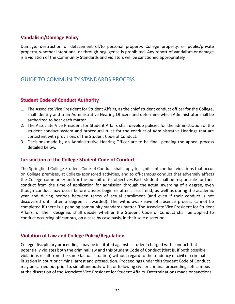## <span id="page-21-0"></span>**Vandalism/Damage Policy**

Damage, destruction or defacement of/to personal property, College property, or public/private property, whether intentional or through negligence is prohibited. Any report of vandalism or damage is a violation of the Community Standards and violators will be sanctioned appropriately.

## <span id="page-21-1"></span>GUIDE TO COMMUNITY STANDARDS PROCESS

## <span id="page-21-2"></span>**Student Code of Conduct Authority**

- 1. The Associate Vice President for Student Affairs, as the chief student conduct officer for the College, shall identify and train Administrative Hearing Officers and determine which Administrator shall be authorized to hear each matter.
- 2. The Associate Vice President for Student Affairs shall develop policies for the administration of the student conduct system and procedural rules for the conduct of Administrative Hearings that are consistent with provisions of the Student Code of Conduct.
- 3. Decisions made by an Administrative Hearing Officer are to be final, pending the appeal process detailed below.

## <span id="page-21-3"></span>**Jurisdiction of the College Student Code of Conduct**

The Springfield College Student Code of Conduct shall apply to significant conduct violations that occur on College premises, at College-sponsored activities, and to off-campus conduct that adversely affects the College community and/or the pursuit of its objectives.Each student shall be responsible for their conduct from the time of application for admission through the actual awarding of a degree, even though conduct may occur before classes begin or after classes end, as well as during the academic year and during periods between terms of actual enrollment (and even if their conduct is not discovered until after a degree is awarded). The withdrawal/leave of absence process cannot be completed if there is a pending community standards matter. The Associate Vice President for Student Affairs, or their designee, shall decide whether the Student Code of Conduct shall be applied to conduct occurring off campus, on a case by case basis, in their sole discretion.

## <span id="page-21-4"></span>**Violation of Law and College Policy/Regulation**

College disciplinary proceedings may be instituted against a student charged with conduct that potentially violates both the criminal law and this Student Code of Conduct (that is, if both possible violations result from the same factual situation) without regard to the tendency of civil or criminal litigation in court or criminal arrest and prosecution. Proceedings under this Student Code of Conduct may be carried out prior to, simultaneously with, or following civil or criminal proceedings off campus at the discretion of the Associate Vice President for Student Affairs. Determinations made or sanctions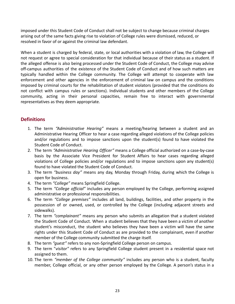imposed under this Student Code of Conduct shall not be subject to change because criminal charges arising out of the same facts giving rise to violation of College rules were dismissed, reduced, or resolved in favor of or against the criminal law defendant.

When a student is charged by federal, state, or local authorities with a violation of law, the College will not request or agree to special consideration for that individual because of their status as a student. If the alleged offense is also being processed under the Student Code of Conduct, the College may advise off-campus authorities of the existence of the Student Code of Conduct and of how such matters are typically handled within the College community. The College will attempt to cooperate with law enforcement and other agencies in the enforcement of criminal law on campus and the conditions imposed by criminal courts for the rehabilitation of student violators (provided that the conditions do not conflict with campus rules or sanctions). Individual students and other members of the College community, acting in their personal capacities, remain free to interact with governmental representatives as they deem appropriate.

## <span id="page-22-0"></span>**Definitions**

- 1. The term *"Administrative Hearing"* means a meeting/hearing between a student and an Administrative Hearing Officer to hear a case regarding alleged violations of the College policies and/or regulations and to impose sanctions upon the student(s) found to have violated the Student Code of Conduct.
- 2. The term *"Administrative Hearing Officer"* means a College official authorized on a case-by-case basis by the Associate Vice President for Student Affairs to hear cases regarding alleged violations of College policies and/or regulations and to impose sanctions upon any student(s) found to have violated the Student Code of Conduct.
- 3. The term *"business day"* means any day, Monday through Friday, during which the College is open for business.
- 4. The term *"College"* means Springfield College.
- 5. The term *"College official"* includes any person employed by the College, performing assigned administrative or professional responsibilities.
- 6. The term *"College premises"* includes all land, buildings, facilities, and other property in the possession of or owned, used, or controlled by the College (including adjacent streets and sidewalks).
- 7. The term *"complainant"* means any person who submits an allegation that a student violated the Student Code of Conduct. When a student believes that they have been a victim of another student's misconduct, the student who believes they have been a victim will have the same rights under this Student Code of Conduct as are provided to the complainant, even if another member of the College community submitted the charge itself.
- 8. The term *"guest"* refers to any non-Springfield College person on campus.
- 9. The term "*visitor"* refers to any Springfield College student present in a residential space not assigned to them.
- 10. The term *"member of the College community"* includes any person who is a student, faculty member, College official, or any other person employed by the College. A person's status in a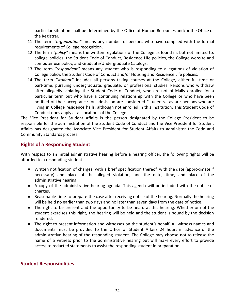particular situation shall be determined by the Office of Human Resources and/or the Office of the Registrar.

- 11. The term *"organization"* means any number of persons who have complied with the formal requirements of College recognition.
- 12. The term *"policy"* means the written regulations of the College as found in, but not limited to, college policies, the Student Code of Conduct, Residence Life policies, the College website and computer use policy, and Graduate/Undergraduate Catalogs.
- 13. The term *"respondent"* means any student who is responding to allegations of violation of College policy, the Student Code of Conduct and/or Housing and Residence Life policies.
- 14. The term *"student"* includes all persons taking courses at the College, either full-time or part-time, pursuing undergraduate, graduate, or professional studies. Persons who withdraw after allegedly violating the Student Code of Conduct, who are not officially enrolled for a particular term but who have a continuing relationship with the College or who have been notified of their acceptance for admission are considered "students," as are persons who are living in College residence halls, although not enrolled in this institution. This Student Code of Conduct does apply at all locations of the College.

The Vice President for Student Affairs is the person designated by the College President to be responsible for the administration of the Student Code of Conduct and the Vice President for Student Affairs has designated the Associate Vice President for Student Affairs to administer the Code and Community Standards process.

## **Rights of a Responding Student**

With respect to an initial administrative hearing before a hearing officer, the following rights will be afforded to a responding student:

- Written notification of charges, with a brief specification thereof, with the date (approximate if necessary) and place of the alleged violation, and the date, time, and place of the administrative hearing.
- A copy of the administrative hearing agenda. This agenda will be included with the notice of charges.
- Reasonable time to prepare the case after receiving notice of the hearing. Normally the hearing will be held no earlier than two days and no later than seven days from the date of notice.
- The right to be present and the opportunity to be heard at this hearing. Whether or not the student exercises this right, the hearing will be held and the student is bound by the decision rendered.
- The right to present information and witnesses on the student's behalf. All witness names and documents must be provided to the Office of Student Affairs 24 hours in advance of the administrative hearing of the responding student. The College may choose not to release the name of a witness prior to the administrative hearing but will make every effort to provide access to redacted statements to assist the responding student in preparation.

## <span id="page-23-0"></span>**Student Responsibilities**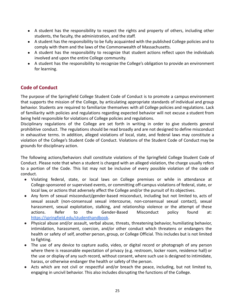- A student has the responsibility to respect the rights and property of others, including other students, the faculty, the administration, and the staff.
- A student has the responsibility to be fully acquainted with the published College policies and to comply with them and the laws of the Commonwealth of Massachusetts.
- A student has the responsibility to recognize that student actions reflect upon the individuals involved and upon the entire College community.
- A student has the responsibility to recognize the College's obligation to provide an environment for learning.

## <span id="page-24-0"></span>**Code of Conduct**

The purpose of the Springfield College Student Code of Conduct is to promote a campus environment that supports the mission of the College, by articulating appropriate standards of individual and group behavior. Students are required to familiarize themselves with all College policies and regulations. Lack of familiarity with policies and regulations regarding expected behavior will not excuse a student from being held responsible for violations of College policies and regulations.

Disciplinary regulations of the College are set forth in writing in order to give students general prohibitive conduct. The regulations should be read broadly and are not designed to define misconduct in exhaustive terms. In addition, alleged violations of local, state, and federal laws may constitute a violation of the College's Student Code of Conduct. Violations of the Student Code of Conduct may be grounds for disciplinary action.

The following actions/behaviors shall constitute violations of the Springfield College Student Code of Conduct. Please note that when a student is charged with an alleged violation, the charge usually refers to a portion of the Code. This list may not be inclusive of every possible violation of the code of conduct.

- Violating federal, state, or local laws on College premises or while in attendance at College-sponsored or supervised events, or committing off-campus violations of federal, state, or local law, or actions that adversely affect the College and/or the pursuit of its objectives.
- Any form of sexual misconduct/gender-based misconduct, including but not limited to, acts of sexual assault (non-consensual sexual intercourse, non-consensual sexual contact), sexual harassment, sexual exploitation, stalking, and relationship violence or the attempt of these actions. Refer to the Gender-Based Misconduct policy found at: <https://springfield.edu/studenthandbook>.
- Physical abuse and/or assault, verbal abuse, threats, threatening behavior, humiliating behavior, intimidation, harassment, coercion, and/or other conduct which threatens or endangers the health or safety of self, another person, group, or College Official. This includes but is not limited to fighting.
- The use of any device to capture audio, video, or digital record or photograph of any person where there is reasonable expectation of privacy (e.g. restroom, locker room, residence hall) or the use or display of any such record, without consent, where such use is designed to intimidate, harass, or otherwise endanger the health or safety of the person.
- Acts which are not civil or respectful and/or breach the peace, including, but not limited to, engaging in uncivil behavior. This also includes disrupting the functions of the College.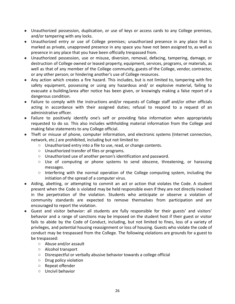- Unauthorized possession, duplication, or use of keys or access cards to any College premises, and/or tampering with any locks.
- Unauthorized entry or use of College premises; unauthorized presence in any place that is marked as private, unapproved presence in any space you have not been assigned to, as well as presence in any place that you have been officially trespassed from.
- Unauthorized possession, use or misuse, diversion, removal, defacing, tampering, damage, or destruction of College owned or leased property, equipment, services, programs, or materials, as well as that of any member of the College community, guests of the College, vendor, contractor, or any other person; or hindering another's use of College resources.
- Any action which creates a fire hazard. This includes, but is not limited to, tampering with fire safety equipment, possessing or using any hazardous and/ or explosive material, failing to evacuate a building/area after notice has been given, or knowingly making a false report of a dangerous condition.
- Failure to comply with the instructions and/or requests of College staff and/or other officials acting in accordance with their assigned duties; refusal to respond to a request of an administrative officer.
- Failure to positively identify one's self or providing false information when appropriately requested to do so. This also includes withholding material information from the College and making false statements to any College official.
- Theft or misuse of phone, computer information, and electronic systems (Internet connection, network, etc.) are prohibited, including but not limited to:
	- Unauthorized entry into a file to use, read, or change contents.
	- Unauthorized transfer of files or programs.
	- Unauthorized use of another person's identification and password.
	- Use of computing or phone systems to send obscene, threatening, or harassing messages.
	- Interfering with the normal operation of the College computing system, including the initiation of the spread of a computer virus.
- Aiding, abetting, or attempting to commit an act or action that violates the Code. A student present when the Code is violated may be held responsible even if they are not directly involved in the perpetration of the violation. Students who anticipate or observe a violation of community standards are expected to remove themselves from participation and are encouraged to report the violation.
- Guest and visitor behavior: all students are fully responsible for their guests' and visitors' behavior and a range of sanctions may be imposed on the student host if their guest or visitor fails to abide by the Code of Conduct, including, but not limited to fines, loss of a variety of privileges, and potential housing reassignment or loss of housing. Guests who violate the code of conduct may be trespassed from the College. The following violations are grounds for a guest to be trespassed:
	- Abuse and/or assault
	- Alcohol transport
	- Disrespectful or verbally abusive behavior towards a college official
	- Drug policy violation
	- Repeat offender
	- Uncivil behavior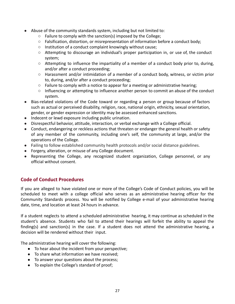- Abuse of the community standards system, including but not limited to:
	- Failure to comply with the sanction(s) imposed by the College;
	- Falsification, distortion, or misrepresentation of information before a conduct body;
	- Institution of a conduct complaint knowingly without cause;
	- Attempting to discourage an individual's proper participation in, or use of, the conduct system;
	- Attempting to influence the impartiality of a member of a conduct body prior to, during, and/or after a conduct proceeding;
	- Harassment and/or intimidation of a member of a conduct body, witness, or victim prior to, during, and/or after a conduct proceeding;
	- $\circ$  Failure to comply with a notice to appear for a meeting or administrative hearing;
	- Influencing or attempting to influence another person to commit an abuse of the conduct system.
- Bias-related violations of the Code toward or regarding a person or group because of factors such as actual or perceived disability, religion, race, national origin, ethnicity, sexual orientation, gender, or gender expression or identity may be assessed enhanced sanctions.
- Indecent or lewd exposure including public urination.
- Disrespectful behavior, attitude, interaction, or verbal exchange with a College official.
- Conduct, endangering or reckless actions that threaten or endanger the general health or safety of any member of the community, including one's self, the community at large, and/or the operations of the College.
- Failing to follow established community health protocols and/or social distance guidelines.
- Forgery, alteration, or misuse of any College document.
- Representing the College, any recognized student organization, College personnel, or any official without consent.

## <span id="page-26-0"></span>**Code of Conduct Procedures**

If you are alleged to have violated one or more of the College's Code of Conduct policies, you will be scheduled to meet with a college official who serves as an administrative hearing officer for the Community Standards process. You will be notified by College e-mail of your administrative hearing date, time, and location at least 24 hours in advance.

If a student neglects to attend a scheduled administrative hearing, it may continue as scheduled in the student's absence. Students who fail to attend their hearings will forfeit the ability to appeal the finding(s) and sanction(s) in the case. If a student does not attend the administrative hearing, a decision will be rendered without their input.

The administrative hearing will cover the following:

- To hear about the incident from your perspective;
- To share what information we have received;
- To answer your questions about the process;
- To explain the College's standard of proof;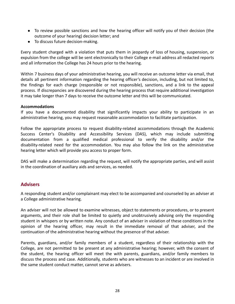- To review possible sanctions and how the hearing officer will notify you of their decision (the outcome of your hearing) decision letter; and
- To discuss future decision-making.

Every student charged with a violation that puts them in jeopardy of loss of housing, suspension, or expulsion from the college will be sent electronically to their College e-mail address all redacted reports and all information the College has 24 hours prior to the hearing.

Within 7 business days of your administrative hearing, you will receive an outcome letter via email, that details all pertinent information regarding the hearing officer's decision, including, but not limited to, the findings for each charge (responsible or not responsible), sanctions, and a link to the appeal process. If discrepancies are discovered during the hearing process that require additional investigation it may take longer than 7 days to receive the outcome letter and this will be communicated.

#### **Accommodations**

If you have a documented disability that significantly impacts your ability to participate in an administrative hearing, you may request reasonable accommodation to facilitate participation.

Follow the appropriate process to request disability-related accommodations through the Academic Success Center's Disability and Accessibility Services (DAS), which may include submitting documentation from a qualified medical professional to verify the disability and/or the disability-related need for the accommodation. You may also follow the link on the administrative hearing letter which will provide you access to proper form.

DAS will make a determination regarding the request, will notify the appropriate parties, and will assist in the coordination of auxiliary aids and services, as needed.

## <span id="page-27-0"></span>**Advisers**

A responding student and/or complainant may elect to be accompanied and counseled by an adviser at a College administrative hearing.

An adviser will not be allowed to examine witnesses, object to statements or procedures, or to present arguments, and their role shall be limited to quietly and unobtrusively advising only the responding student in whispers or by written note. Any conduct of an adviser in violation of these conditions in the opinion of the hearing officer, may result in the immediate removal of that adviser, and the continuation of the administrative hearing without the presence of that adviser.

Parents, guardians, and/or family members of a student, regardless of their relationship with the College, are not permitted to be present at any administrative hearing; however, with the consent of the student, the hearing officer will meet the with parents, guardians, and/or family members to discuss the process and case. Additionally, students who are witnesses to an incident or are involved in the same student conduct matter, cannot serve as advisers.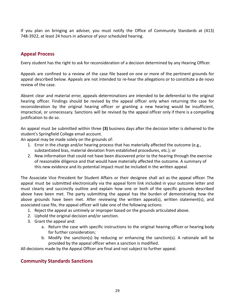If you plan on bringing an adviser, you must notify the Office of Community Standards at (413) 748-3922, at least 24 hours in advance of your scheduled hearing.

## <span id="page-28-0"></span>**Appeal Process**

Every student has the right to ask for reconsideration of a decision determined by any Hearing Officer.

Appeals are confined to a review of the case file based on one or more of the pertinent grounds for appeal described below. Appeals are not intended to re-hear the allegations or to constitute a de novo review of the case.

Absent clear and material error, appeals determinations are intended to be deferential to the original hearing officer. Findings should be revised by the appeal officer only when returning the case for reconsideration by the original hearing officer or granting a new hearing would be insufficient, impractical, or unnecessary. Sanctions will be revised by the appeal officer only if there is a compelling justification to do so.

An appeal must be submitted within three **(3)** business days after the decision letter is delivered to the student's Springfield College email account.

An appeal may be made solely on the grounds of:

- 1. Error in the charge and/or hearing process that has materially affected the outcome (e.g., substantiated bias, material deviation from established procedures, etc.); or
- 2. New information that could not have been discovered prior to the hearing through the exercise of reasonable diligence and that would have materially affected the outcome. A summary of this new evidence and its potential impact must be included in the written appeal.

The Associate Vice President for Student Affairs or their designee shall act as the appeal officer. The appeal must be submitted electronically via the appeal form link included in your outcome letter and must clearly and succinctly outline and explain how one or both of the specific grounds described above have been met. The party submitting the appeal has the burden of demonstrating how the above grounds have been met. After reviewing the written appeal(s), written statement(s), and associated case file, the appeal officer will take one of the following actions:

- 1. Reject the appeal as untimely or improper based on the grounds articulated above.
- 2. Uphold the original decision and/or sanction.
- 3. Grant the appeal and:
	- a. Return the case with specific instructions to the original hearing officer or hearing body for further consideration;
	- b. Modify the sanction(s) by reducing or enhancing the sanction(s). A rationale will be provided by the appeal officer when a sanction is modified.

<span id="page-28-1"></span>All decisions made by the Appeal Officer are final and not subject to further appeal.

## **Community Standards Sanctions**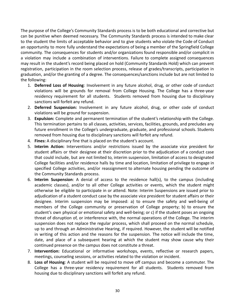The purpose of the College's Community Standards process is to be both educational and corrective but can be punitive when deemed necessary. The Community Standards process is intended to make clear to the student the limits of acceptable behavior and to give students who violate the Code of Conduct an opportunity to more fully understand the expectations of being a member of the Springfield College community. The consequences for students and/or organizations found responsible and/or complicit in a violation may include a combination of interventions. Failure to complete assigned consequences may result in the student's record being placed on hold (Community Standards Hold) which can prevent registration, participation in the room selection process, release of grades/transcripts, participation in graduation, and/or the granting of a degree. The consequences/sanctions include but are not limited to the following:

- 1. **Deferred Loss of Housing**: Involvement in any future alcohol, drug, or other code of conduct violations will be grounds for removal from College Housing. The College has a three-year residency requirement for all students. Students removed from housing due to disciplinary sanctions will forfeit any refund.
- 2. **Deferred Suspension:** Involvement in any future alcohol, drug, or other code of conduct violations will be ground for suspension.
- 3. **Expulsion:** Complete and permanent termination of the student's relationship with the College. This termination pertains to all classes, activities, services, facilities, grounds, and precludes any future enrollment in the College's undergraduate, graduate, and professional schools. Students removed from housing due to disciplinary sanctions will forfeit any refund.
- 4. **Fines:** A disciplinary fine that is placed on the student's account.
- 5. **Interim Action:** Interventions and/or restrictions issued by the associate vice president for student affairs or their designee at their discretion prior to the adjudication of a conduct case that could include, but are not limited to, interim suspension, limitation of access to designated College facilities and/or residence halls by time and location, limitation of privilege to engage in specified College activities, and/or reassignment to alternate housing pending the outcome of the Community Standards process.
- 6. **Interim Suspension**: A denial of access to the residence hall(s), to the campus (including academic classes), and/or to all other College activities or events, which the student might otherwise be eligible to participate in or attend. Note: Interim Suspensions are issued prior to adjudication of a student conduct case by the associate vice president for student affairs or their designee. Interim suspension may be imposed: a) to ensure the safety and well-being of members of the College community or preservation of College property; b) to ensure the student's own physical or emotional safety and well-being; or c) if the student poses an ongoing threat of disruption of, or interference with, the normal operations of the College. The interim suspension does not replace the regular process, which shall proceed on the normal schedule, up to and through an Administrative Hearing, if required. However, the student will be notified in writing of this action and the reasons for the suspension. The notice will include the time, date, and place of a subsequent hearing at which the student may show cause why their continued presence on the campus does not constitute a threat.
- 7. **Intervention:** Educational or informative workshops, events, reflective or research papers, meetings, counseling sessions, or activities related to the violation or incident.
- 8. **Loss of Housing**: A student will be required to move off campus and become a commuter. The College has a three-year residency requirement for all students. Students removed from housing due to disciplinary sanctions will forfeit any refund.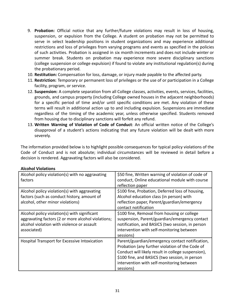- 9. **Probation:** Official notice that any further/future violations may result in loss of housing, suspension, or expulsion from the College. A student on probation may not be permitted to serve in select leadership positions in student organizations and may experience additional restrictions and loss of privileges from varying programs and events as specified in the policies of such activities. Probation is assigned in six month increments and does not include winter or summer break. Students on probation may experience more severe disciplinary sanctions (college suspension or college expulsion) if found to violate any institutional regulation(s) during the probationary period.
- 10. **Restitution:** Compensation for loss, damage, or injury made payable to the affected party.
- 11. **Restriction:** Temporary or permanent loss of privileges or the use of or participation in a College facility, program, or service.
- 12. **Suspension:** A complete separation from all College classes, activities, events, services, facilities, grounds, and campus property (including College owned houses in the adjacent neighborhoods) for a specific period of time and/or until specific conditions are met. Any violation of these terms will result in additional action up to and including expulsion. Suspensions are immediate regardless of the timing of the academic year, unless otherwise specified. Students removed from housing due to disciplinary sanctions will forfeit any refund.
- 13. **Written Warning of Violation of Code of Conduct**: An official written notice of the College's disapproval of a student's actions indicating that any future violation will be dealt with more severely.

The information provided below is to highlight possible consequences for typical policy violations of the Code of Conduct and is not absolute; individual circumstances will be reviewed in detail before a decision is rendered. Aggravating factors will also be considered.

| Alcohol policy violation(s) with no aggravating<br>factors                                                                                                      | \$50 fine, Written warning of violation of code of<br>conduct, Online educational module with course<br>reflection paper                                                                                                                                             |
|-----------------------------------------------------------------------------------------------------------------------------------------------------------------|----------------------------------------------------------------------------------------------------------------------------------------------------------------------------------------------------------------------------------------------------------------------|
| Alcohol policy violation(s) with aggravating<br>factors (such as conduct history, amount of<br>alcohol, other minor violations)                                 | \$100 fine, Probation, Deferred loss of housing,<br>Alcohol education class (in person) with<br>reflection paper, Parent/guardian/emergency<br>contact notification                                                                                                  |
| Alcohol policy violation(s) with significant<br>aggravating factors (2 or more alcohol violations;<br>alcohol violation with violence or assault<br>associated) | \$100 fine, Removal from housing or college<br>suspension, Parent/guardian/emergency contact<br>notification, and BASICS (two session, in person<br>intervention with self-monitoring between<br>sessions)                                                           |
| Hospital Transport for Excessive Intoxication                                                                                                                   | Parent/guardian/emergency contact notification,<br>Probation (any further violation of the Code of<br>Conduct will likely result in college suspension),<br>\$100 fine, and BASICS (two session, in person<br>intervention with self-monitoring between<br>sessions) |

#### **Alcohol Violations**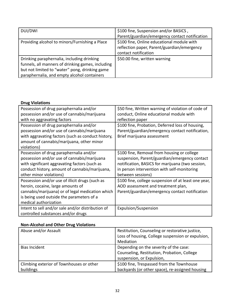| DUI/DWI                                           | \$100 fine, Suspension and/or BASICS,          |
|---------------------------------------------------|------------------------------------------------|
|                                                   | Parent/guardian/emergency contact notification |
| Providing alcohol to minors/Furnishing a Place    | \$100 fine, Online educational module with     |
|                                                   | reflection paper, Parent/guardian/emergency    |
|                                                   | contact notification                           |
| Drinking paraphernalia, including drinking        | \$50.00 fine, written warning                  |
| funnels, all manners of drinking games, including |                                                |
| but not limited to "water" pong, drinking game    |                                                |
| paraphernalia, and empty alcohol containers       |                                                |

#### **Drug Violations**

| Possession of drug paraphernalia and/or            | \$50 fine, Written warning of violation of code of   |
|----------------------------------------------------|------------------------------------------------------|
| possession and/or use of cannabis/marijuana        | conduct, Online educational module with              |
| with no aggravating factors                        | reflection paper                                     |
| Possession of drug paraphernalia and/or            | \$100 fine, Probation, Deferred loss of housing,     |
| possession and/or use of cannabis/marijuana        | Parent/guardian/emergency contact notification,      |
| with aggravating factors (such as conduct history, | Brief marijuana assessment                           |
| amount of cannabis/marijuana, other minor          |                                                      |
| violations)                                        |                                                      |
| Possession of drug paraphernalia and/or            | \$100 fine, Removal from housing or college          |
| possession and/or use of cannabis/marijuana        | suspension, Parent/guardian/emergency contact        |
| with significant aggravating factors (such as      | notification, BASICS for marijuana (two session,     |
| conduct history, amount of cannabis/marijuana,     | in person intervention with self-monitoring          |
| other minor violations)                            | between sessions)                                    |
| Possession and/or use of illicit drugs (such as    | \$100 fine, college suspension of at least one year, |
| heroin, cocaine, large amounts of                  | AOD assessment and treatment plan,                   |
| cannabis/marijuana) or of legal medication which   | Parent/guardian/emergency contact notification       |
| is being used outside the parameters of a          |                                                      |
| medical authorization                              |                                                      |
| Intent to sell and/or sale and/or distribution of  | Expulsion/Suspension                                 |
| controlled substances and/or drugs                 |                                                      |

## **Non-Alcohol and Other Drug Violations**

| Abuse and/or Assault                     | Restitution, Counseling or restorative justice,   |
|------------------------------------------|---------------------------------------------------|
|                                          | Loss of housing, College suspension or expulsion, |
|                                          | Mediation                                         |
| Bias Incident                            | Depending on the severity of the case:            |
|                                          | Counseling, Restitution, Probation, College       |
|                                          | suspension, or Expulsion,                         |
| Climbing exterior of Townhouses or other | \$100 fine, Trespassed from the Townhouse         |
| buildings                                | backyards (or other space), re-assigned housing   |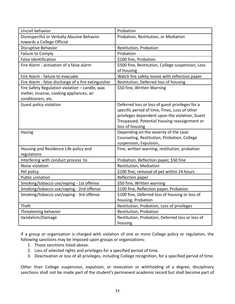| Uncivil behavior                                    | Probation                                                       |
|-----------------------------------------------------|-----------------------------------------------------------------|
| Disrespectful or Verbally Abusive Behavior          | Probation, Restitution, or Mediation                            |
| towards a College Official                          |                                                                 |
| Disruptive Behavior                                 | Restitution, Probation                                          |
| Failure to Comply                                   | Probation                                                       |
| <b>False Identification</b>                         | \$100 fine, Probation                                           |
| Fire Alarm - activation of a false alarm            | \$500 fine, Restitution, College suspension, Loss<br>of housing |
| Fire Alarm - failure to evacuate                    | Watch fire safety movie with reflection paper                   |
| Fire Alarm - false discharge of a fire extinguisher | Restitution, Deferred loss of housing                           |
| Fire Safety Regulation violation - candle, wax      | \$50 fine, Written Warning                                      |
| melter, incense, cooking appliances, air            |                                                                 |
| conditioners, etc.                                  |                                                                 |
| Guest policy violation                              | Deferred loss or loss of guest privileges for a                 |
|                                                     | specific period of time, Fines, Loss of other                   |
|                                                     | privileges dependent upon the violation, Guest                  |
|                                                     | Trespassed, Potential housing reassignment or                   |
|                                                     | loss of housing                                                 |
| Hazing                                              | Depending on the severity of the case:                          |
|                                                     | Counseling, Restitution, Probation, College                     |
|                                                     | suspension, Expulsion,                                          |
| Housing and Residence Life policy and               | Fine, written warning, restitution, probation                   |
| regulations                                         |                                                                 |
| Interfering with conduct process to                 | Probation, Reflection paper, \$50 fine                          |
| Noise violation                                     | Restitution, Mediation                                          |
| Pet policy                                          | \$100 fine, removal of pet within 24 hours                      |
| Public urination                                    | Reflection paper                                                |
| Smoking/tobacco use/vaping - 1st offense            | \$50 fine, Written warning                                      |
| Smoking/tobacco use/vaping - 2nd offense            | \$100 fine, Reflection paper, Probation                         |
| Smoking/tobacco use/vaping - 3rd offense            | \$100 fine, Deferred loss of housing or loss of                 |
|                                                     | housing, Probation                                              |
| Theft                                               | Restitution, Probation, Loss of privileges                      |
| Threatening behavior                                | Restitution, Probation                                          |
| Vandalism/Damage                                    | Restitution, Probation, Deferred loss or loss of                |
|                                                     | housing                                                         |

If a group or organization is charged with violation of one or more College policy or regulation, the following sanctions may be imposed upon groups or organizations:

- 1. Those sanctions listed above.
- 2. Loss of selected rights and privileges for a specified period of time.
- 3. Deactivation or loss of all privileges, including College recognition, for a specified period of time.

Other than College suspension, expulsion, or revocation or withholding of a degree, disciplinary sanctions shall not be made part of the student's permanent academic record but shall become part of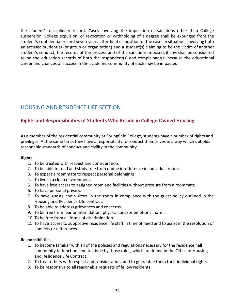the student's disciplinary record. Cases involving the imposition of sanctions other than College suspension, College expulsion, or revocation or withholding of a degree shall be expunged from the student's confidential record seven years after final disposition of the case. In situations involving both an accused student(s) (or group or organization) and a student(s) claiming to be the victim of another student's conduct, the records of the process and of the sanctions imposed, if any, shall be considered to be the education records of both the respondent(s) and complainant(s) because the educational career and chances of success in the academic community of each may be impacted.

# <span id="page-33-0"></span>HOUSING AND RESIDENCE LIFE SECTION

## <span id="page-33-1"></span>**Rights and Responsibilities of Students Who Reside in College-Owned Housing**

As a member of the residential community at Springfield College, students have a number of rights and privileges. At the same time, they have a responsibility to conduct themselves in a way which upholds reasonable standards of conduct and civility in the community.

#### **Rights**

- 1. To be treated with respect and consideration.
- 2. To be able to read and study free from undue interference in individual rooms.
- 3. To expect a roommate to respect personal belongings.
- 4. To live in a clean environment.
- 5. To have free access to assigned room and facilities without pressure from a roommate.
- 6. To have personal privacy.
- 7. To have guests and visitors in the room in compliance with the guest policy outlined in the Housing and Residence Life contract.
- 8. To be able to address grievances and concerns.
- 9. To be free from fear or intimidation, physical, and/or emotional harm.
- 10. To be free from all forms of discrimination.
- 11. To have access to supportive residence life staff in time of need and to assist in the resolution of conflicts or differences.

#### **Responsibilities**

- 1. To become familiar with all of the policies and regulations necessary for the residence hall community to function, and to abide by those rules, which are found in the Office of Housing and Residence Life Contract.
- 2. To treat others with respect and consideration, and to guarantee them their individual rights.
- 3. To be responsive to all reasonable requests of fellow residents.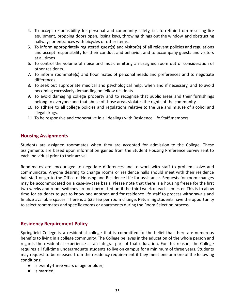- 4. To accept responsibility for personal and community safety, i.e. to refrain from misusing fire equipment, propping doors open, losing keys, throwing things out the window, and obstructing hallways or entrances with bicycles or other items.
- 5. To inform appropriately registered guest(s) and visitor(s) of all relevant policies and regulations and accept responsibility for their conduct and behavior, and to accompany guests and visitors at all times
- 6. To control the volume of noise and music emitting an assigned room out of consideration of other residents.
- 7. To inform roommate(s) and floor mates of personal needs and preferences and to negotiate differences.
- 8. To seek out appropriate medical and psychological help, when and if necessary, and to avoid becoming excessively demanding on fellow residents.
- 9. To avoid damaging college property and to recognize that public areas and their furnishings belong to everyone and that abuse of those areas violates the rights of the community.
- 10. To adhere to all college policies and regulations relative to the use and misuse of alcohol and illegal drugs.
- 11. To be responsive and cooperative in all dealings with Residence Life Staff members.

## <span id="page-34-0"></span>**Housing Assignments**

Students are assigned roommates when they are accepted for admission to the College. These assignments are based upon information gained from the Student Housing Preference Survey sent to each individual prior to their arrival.

Roommates are encouraged to negotiate differences and to work with staff to problem solve and communicate. Anyone desiring to change rooms or residence halls should meet with their residence hall staff or go to the Office of Housing and Residence Life for assistance. Requests for room changes may be accommodated on a case-by-case basis. Please note that there is a housing freeze for the first two weeks and room switches are not permitted until the third week of each semester. This is to allow time for students to get to know one another, and for residence life staff to process withdrawals and finalize available spaces. There is a \$35 fee per room change. Returning students have the opportunity to select roommates and specific rooms or apartments during the Room Selection process.

## <span id="page-34-1"></span>**Residency Requirement Policy**

Springfield College is a residential college that is committed to the belief that there are numerous benefits to living in a college community. The College believes in the education of the whole person and regards the residential experience as an integral part of that education. For this reason, the College requires all full-time undergraduate students to live on campus for a minimum of three years. Students may request to be released from the residency requirement if they meet one or more of the following conditions:

- Is twenty-three years of age or older;
- Is married;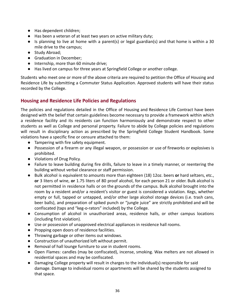- Has dependent children;
- Has been a veteran of at least two years on active military duty;
- Is planning to live at home with a parent(s) or legal guardian(s) and that home is within a 30 mile drive to the campus;
- Study Abroad;
- Graduation in December;
- Internship, more than 60 minute drive;
- Has lived on campus for three years at Springfield College or another college.

Students who meet one or more of the above criteria are required to petition the Office of Housing and Residence Life by submitting a Commuter Status Application. Approved students will have their status recorded by the College.

## <span id="page-35-0"></span>**Housing and Residence Life Policies and Regulations**

The policies and regulations detailed in the Office of Housing and Residence Life Contract have been designed with the belief that certain guidelines become necessary to provide a framework within which a residence facility and its residents can function harmoniously and demonstrate respect to other students as well as College and personal property. Failure to abide by College policies and regulations will result in disciplinary action as prescribed by the Springfield College Student Handbook. Some violations have a specific fine or censure attached to them:

- Tampering with fire safety equipment.
- Possession of a firearm or any illegal weapon, or possession or use of fireworks or explosives is prohibited.
- Violations of Drug Policy.
- Failure to leave building during fire drills, failure to leave in a timely manner, or reentering the building without verbal clearance or staff permission.
- Bulk alcohol is equivalent to amounts more than eighteen (18) 12oz. beers **or** hard seltzers, etc., **or** 3 liters of wine, **or** 1.75 liters of 80 proof alcohol, for each person 21 or older. Bulk alcohol is not permitted in residence halls or on the grounds of the campus. Bulk alcohol brought into the room by a resident and/or a resident's visitor or guest is considered a violation. Kegs, whether empty or full, tapped or untapped, and/or other large alcohol storage devices (i.e. trash cans, beer balls), and preparation of spiked punch or "jungle juice" are strictly prohibited and will be confiscated (taps and "keg-o-rators" included) by the College.
- Consumption of alcohol in unauthorized areas, residence halls, or other campus locations (including first violation).
- Use or possession of unapproved electrical appliances in residence hall rooms.
- Propping open doors of residence facilities.
- Throwing garbage or other items out windows.
- Construction of unauthorized loft without permit.
- Removal of hall lounge furniture to use in student rooms.
- Open Flames: candles (may be confiscated), incense, smoking. Wax melters are not allowed in residential spaces and may be confiscated.
- Damaging College property will result in charges to the individual(s) responsible for said damage. Damage to individual rooms or apartments will be shared by the students assigned to that space.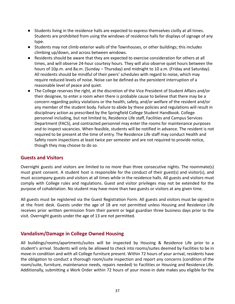- Students living in the residence halls are expected to express themselves civilly at all times. Students are prohibited from using the windows of residence halls for displays of signage of any type.
- Students may not climb exterior walls of the Townhouses, or other buildings; this includes climbing up/down, and across between windows.
- Residents should be aware that they are expected to exercise consideration for others at all times, and will observe 24‐hour courtesy hours. They will also observe quiet hours between the hours of 10p.m. and 8a.m. (Sunday – Thursday) and midnight to 10 a.m. (Friday and Saturday). All residents should be mindful of their peers' schedules with regard to noise, which may require reduced levels of noise. Noise can be defined as the persistent interruption of a reasonable level of peace and quiet.
- The College reserves the right, at the discretion of the Vice President of Student Affairs and/or their designee, to enter a room when there is probable cause to believe that there may be a concern regarding policy violations or the health, safety, and/or welfare of the resident and/or any member of the student body. Failure to abide by these policies and regulations will result in disciplinary action as prescribed by the Springfield College Student Handbook. College personnel including, but not limited to, Residence Life staff, Facilities and Campus Services Department (FACS), and contracted personnel may enter the rooms for maintenance purposes and to inspect vacancies. When feasible, students will be notified in advance. The resident is not required to be present at the time of entry. The Residence Life staff may conduct Health and Safety room inspections at least twice per semester and are not required to provide notice, though they may choose to do so.

## <span id="page-36-0"></span>**Guests and Visitors**

Overnight guests and visitors are limited to no more than three consecutive nights. The roommate(s) must grant consent. A student host is responsible for the conduct of their guest(s) and visitor(s), and must accompany guests and visitors at all times while in the residence halls. All guests and visitors must comply with College rules and regulations. Guest and visitor privileges may not be extended for the purpose of cohabitation. No student may have more than two guests or visitors at any given time.

All guests must be registered via the Guest Registration Form. All guests and visitors must be signed in at the front desk. Guests under the age of 18 are not permitted unless Housing and Residence Life receives prior written permission from their parent or legal guardian three business days prior to the visit. Overnight guests under the age of 13 are not permitted.

## <span id="page-36-1"></span>**Vandalism/Damage in College Owned Housing**

All buildings/rooms/apartments/suites will be inspected by Housing & Residence Life prior to a student's arrival. Students will only be allowed to check into rooms/suites deemed by Facilities to be in move-in condition and with all College furniture present. Within 72 hours of your arrival, residents have the obligation to conduct a thorough room/suite inspection and report any concerns (condition of the room/suite, furniture, maintenance needs, repairs needed) to Facilities or Housing and Residence Life. Additionally, submitting a Work Order within 72 hours of your move-in date makes you eligible for the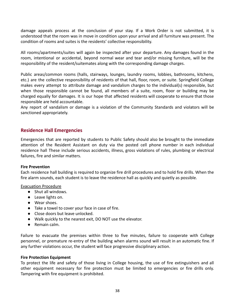damage appeals process at the conclusion of your stay. If a Work Order is not submitted, it is understood that the room was in move in condition upon your arrival and all furniture was present. The condition of rooms and suites is the residents' collective responsibility.

All rooms/apartments/suites will again be inspected after your departure. Any damages found in the room, intentional or accidental, beyond normal wear and tear and/or missing furniture, will be the responsibility of the resident/suitemates along with the corresponding damage charges.

Public areas/common rooms (halls, stairways, lounges, laundry rooms, lobbies, bathrooms, kitchens, etc.) are the collective responsibility of residents of that hall, floor, room, or suite. Springfield College makes every attempt to attribute damage and vandalism charges to the individual(s) responsible, but when those responsible cannot be found, all members of a suite, room, floor or building may be charged equally for damages. It is our hope that affected residents will cooperate to ensure that those responsible are held accountable.

Any report of vandalism or damage is a violation of the Community Standards and violators will be sanctioned appropriately.

## <span id="page-37-0"></span>**Residence Hall Emergencies**

Emergencies that are reported by students to Public Safety should also be brought to the immediate attention of the Resident Assistant on duty via the posted cell phone number in each individual residence hall These include serious accidents, illness, gross violations of rules, plumbing or electrical failures, fire and similar matters.

#### **Fire Prevention**

Each residence hall building is required to organize fire drill procedures and to hold fire drills. When the fire alarm sounds, each student is to leave the residence hall as quickly and quietly as possible.

#### Evacuation Procedure

- Shut all windows.
- Leave lights on.
- Wear shoes.
- Take a towel to cover your face in case of fire.
- Close doors but leave unlocked.
- Walk quickly to the nearest exit, DO NOT use the elevator.
- Remain calm.

Failure to evacuate the premises within three to five minutes, failure to cooperate with College personnel, or premature re-entry of the building when alarms sound will result in an automatic fine. If any further violations occur, the student will face progressive disciplinary action.

#### **Fire Protection Equipment**

To protect the life and safety of those living in College housing, the use of fire extinguishers and all other equipment necessary for fire protection must be limited to emergencies or fire drills only. Tampering with fire equipment is prohibited.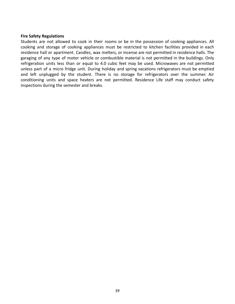#### **Fire Safety Regulations**

Students are not allowed to cook in their rooms or be in the possession of cooking appliances. All cooking and storage of cooking appliances must be restricted to kitchen facilities provided in each residence hall or apartment. Candles, wax melters, or incense are not permitted in residence halls. The garaging of any type of motor vehicle or combustible material is not permitted in the buildings. Only refrigeration units less than or equal to 4.0 cubic feet may be used. Microwaves are not permitted unless part of a micro fridge unit. During holiday and spring vacations refrigerators must be emptied and left unplugged by the student. There is no storage for refrigerators over the summer. Air conditioning units and space heaters are not permitted. Residence Life staff may conduct safety inspections during the semester and breaks.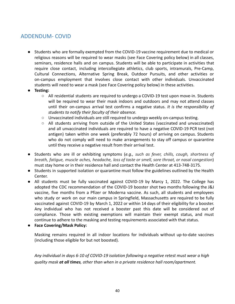# <span id="page-39-0"></span>ADDENDUM- COVID

- Students who are formally exempted from the COVID-19 vaccine requirement due to medical or religious reasons will be required to wear masks (see Face Covering policy below) in all classes, seminars, residence halls and on campus. Students will be able to participate in activities that require close contact, including intercollegiate athletics, club sports, intramurals, Pre-Camp, Cultural Connections, Alternative Spring Break, Outdoor Pursuits, and other activities or on-campus employment that involves close contact with other individuals. Unvaccinated students will need to wear a mask (see Face Covering policy below) in these activities.
- **Testing:**
	- All residential students are required to undergo a COVID-19 test upon move-in. Students will be required to wear their mask indoors and outdoors and may not attend classes until their on-campus arrival test confirms a negative status. *It is the responsibility of students to notify their faculty of their absence.*
	- Unvaccinated individuals are still required to undergo weekly on-campus testing.
	- All students arriving from outside of the United States (vaccinated and unvaccinated) and all unvaccinated individuals are required to have a negative COVID-19 PCR test (not antigen) taken within one week (preferably 72 hours) of arriving on campus. Students who do not comply will need to make arrangements to stay off campus or quarantine until they receive a negative result from their arrival test.
- Students who are ill or exhibiting symptoms (*e.g., such as fever, chills, cough, shortness of breath, fatigue, muscle aches, headache, loss of taste or smell, sore throat, or nasal congestion*) must stay home or in their residence hall and contact the [Health Center](https://springfield.edu/student-life/health-center) at 413-748-3175.
- Students in supported isolation or quarantine must follow the guidelines outlined by the Health Center.
- All students must be fully vaccinated against COVID-19 by Marcy 1, 2022. The College has adopted the CDC recommendation of the COVID-19 booster shot two months following the J&J vaccine, five months from a Pfizer or Moderna vaccine. As such, all students and employees who study or work on our main campus in Springfield, Massachusetts are required to be fully vaccinated against COVID-19 by March 1, 2022 or within 14 days of their eligibility for a booster. Any individual who has not received a booster past this date will be considered out of compliance. Those with existing exemptions will maintain their exempt status, and must continue to adhere to the masking and testing requirements associated with that status.
- **Face Covering/Mask Policy:**

Masking remains required in all indoor locations for individuals without up-to-date vaccines (including those eligible for but not boosted).

*Any individual in days 6-10 of COVID-19 isolation following a negative retest must wear a high quality mask at all times, other than when in a private residence hall room/apartment.*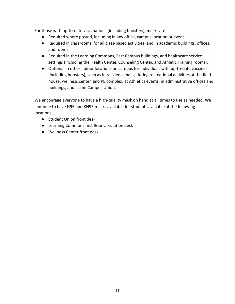For those with up-to-date vaccinations (including boosters), masks are:

- Required where posted, including in any office, campus location or event.
- Required in classrooms, for all class-based activities, and in academic buildings, offices, and rooms.
- Required in the Learning Commons, East Campus buildings, and healthcare service settings (including the Health Center, Counseling Center, and Athletic Training rooms).
- Optional in other indoor locations on campus for individuals with up-to-date vaccines (including boosters), such as in residence halls, during recreational activities at the field house, wellness center, and PE complex, at Athletics events, in administrative offices and buildings, and at the Campus Union.

We encourage everyone to have a high-quality mask on hand at all times to use as needed. We continue to have N95 and KN95 masks available for students available at the following locations:

- Student Union front desk
- Learning Commons first floor circulation desk
- Wellness Center front desk